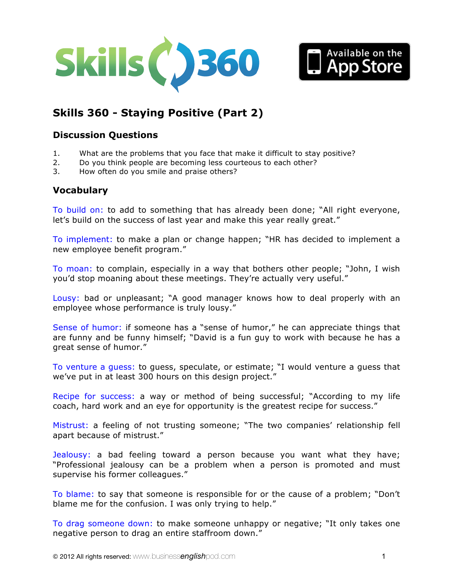



# **Skills 360 - [Staying Positive \(Part 2\)](http://www.businessenglishpod.com/2013/01/13/business-english-skills-360-staying-positive2/)**

## **Discussion Questions**

- 1. What are the problems that you face that make it difficult to stay positive?
- 2. Do you think people are becoming less courteous to each other?
- 3. How often do you smile and praise others?

# **Vocabulary**

To build on: to add to something that has already been done; "All right everyone, let's build on the success of last year and make this year really great."

To implement: to make a plan or change happen; "HR has decided to implement a new employee benefit program."

To moan: to complain, especially in a way that bothers other people; "John, I wish you'd stop moaning about these meetings. They're actually very useful."

Lousy: bad or unpleasant; "A good manager knows how to deal properly with an employee whose performance is truly lousy."

Sense of humor: if someone has a "sense of humor," he can appreciate things that are funny and be funny himself; "David is a fun guy to work with because he has a great sense of humor."

To venture a guess: to guess, speculate, or estimate; "I would venture a guess that we've put in at least 300 hours on this design project."

Recipe for success: a way or method of being successful; "According to my life coach, hard work and an eye for opportunity is the greatest recipe for success."

Mistrust: a feeling of not trusting someone; "The two companies' relationship fell apart because of mistrust."

Jealousy: a bad feeling toward a person because you want what they have; "Professional jealousy can be a problem when a person is promoted and must supervise his former colleagues."

To blame: to say that someone is responsible for or the cause of a problem; "Don't blame me for the confusion. I was only trying to help."

To drag someone down: to make someone unhappy or negative; "It only takes one negative person to drag an entire staffroom down."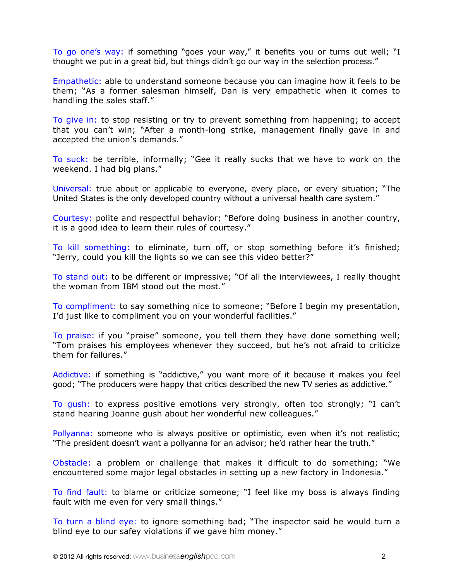To go one's way: if something "goes your way," it benefits you or turns out well; "I thought we put in a great bid, but things didn't go our way in the selection process."

Empathetic: able to understand someone because you can imagine how it feels to be them; "As a former salesman himself, Dan is very empathetic when it comes to handling the sales staff."

To give in: to stop resisting or try to prevent something from happening; to accept that you can't win; "After a month-long strike, management finally gave in and accepted the union's demands."

To suck: be terrible, informally; "Gee it really sucks that we have to work on the weekend. I had big plans."

Universal: true about or applicable to everyone, every place, or every situation; "The United States is the only developed country without a universal health care system."

Courtesy: polite and respectful behavior; "Before doing business in another country, it is a good idea to learn their rules of courtesy."

To kill something: to eliminate, turn off, or stop something before it's finished; "Jerry, could you kill the lights so we can see this video better?"

To stand out: to be different or impressive; "Of all the interviewees, I really thought the woman from IBM stood out the most."

To compliment: to say something nice to someone; "Before I begin my presentation, I'd just like to compliment you on your wonderful facilities."

To praise: if you "praise" someone, you tell them they have done something well; "Tom praises his employees whenever they succeed, but he's not afraid to criticize them for failures."

Addictive: if something is "addictive," you want more of it because it makes you feel good; "The producers were happy that critics described the new TV series as addictive."

To gush: to express positive emotions very strongly, often too strongly; "I can't stand hearing Joanne gush about her wonderful new colleagues."

Pollyanna: someone who is always positive or optimistic, even when it's not realistic; "The president doesn't want a pollyanna for an advisor; he'd rather hear the truth."

Obstacle: a problem or challenge that makes it difficult to do something; "We encountered some major legal obstacles in setting up a new factory in Indonesia."

To find fault: to blame or criticize someone; "I feel like my boss is always finding fault with me even for very small things."

To turn a blind eye: to ignore something bad; "The inspector said he would turn a blind eye to our safey violations if we gave him money."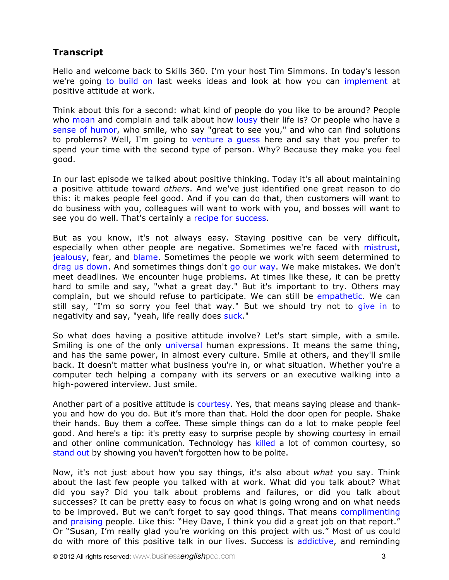# **Transcript**

Hello and welcome back to Skills 360. I'm your host Tim Simmons. In today's lesson we're going to build on last weeks ideas and look at how you can implement at positive attitude at work.

Think about this for a second: what kind of people do you like to be around? People who moan and complain and talk about how lousy their life is? Or people who have a sense of humor, who smile, who say "great to see you," and who can find solutions to problems? Well, I'm going to venture a guess here and say that you prefer to spend your time with the second type of person. Why? Because they make you feel good.

In our last episode we talked about positive thinking. Today it's all about maintaining a positive attitude toward *others*. And we've just identified one great reason to do this: it makes people feel good. And if you can do that, then customers will want to do business with you, colleagues will want to work with you, and bosses will want to see you do well. That's certainly a recipe for success.

But as you know, it's not always easy. Staying positive can be very difficult, especially when other people are negative. Sometimes we're faced with mistrust, jealousy, fear, and blame. Sometimes the people we work with seem determined to drag us down. And sometimes things don't go our way. We make mistakes. We don't meet deadlines. We encounter huge problems. At times like these, it can be pretty hard to smile and say, "what a great day." But it's important to try. Others may complain, but we should refuse to participate. We can still be empathetic. We can still say, "I'm so sorry you feel that way." But we should try not to give in to negativity and say, "yeah, life really does suck."

So what does having a positive attitude involve? Let's start simple, with a smile. Smiling is one of the only universal human expressions. It means the same thing, and has the same power, in almost every culture. Smile at others, and they'll smile back. It doesn't matter what business you're in, or what situation. Whether you're a computer tech helping a company with its servers or an executive walking into a high-powered interview. Just smile.

Another part of a positive attitude is courtesy. Yes, that means saying please and thankyou and how do you do. But it's more than that. Hold the door open for people. Shake their hands. Buy them a coffee. These simple things can do a lot to make people feel good. And here's a tip: it's pretty easy to surprise people by showing courtesy in email and other online communication. Technology has killed a lot of common courtesy, so stand out by showing you haven't forgotten how to be polite.

Now, it's not just about how you say things, it's also about *what* you say. Think about the last few people you talked with at work. What did you talk about? What did you say? Did you talk about problems and failures, or did you talk about successes? It can be pretty easy to focus on what is going wrong and on what needs to be improved. But we can't forget to say good things. That means complimenting and praising people. Like this: "Hey Dave, I think you did a great job on that report." Or "Susan, I'm really glad you're working on this project with us." Most of us could do with more of this positive talk in our lives. Success is addictive, and reminding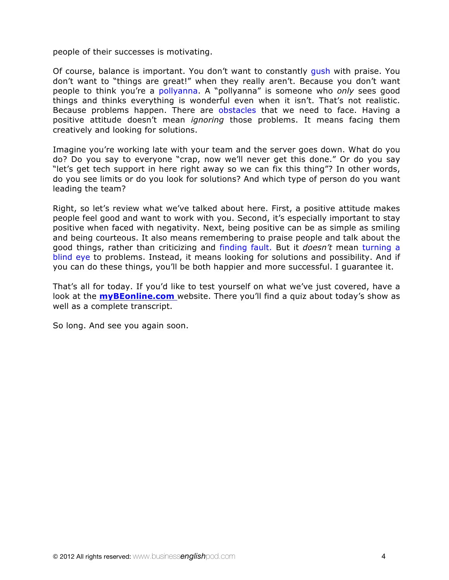people of their successes is motivating.

Of course, balance is important. You don't want to constantly gush with praise. You don't want to "things are great!" when they really aren't. Because you don't want people to think you're a pollyanna. A "pollyanna" is someone who *only* sees good things and thinks everything is wonderful even when it isn't. That's not realistic. Because problems happen. There are obstacles that we need to face. Having a positive attitude doesn't mean *ignoring* those problems. It means facing them creatively and looking for solutions.

Imagine you're working late with your team and the server goes down. What do you do? Do you say to everyone "crap, now we'll never get this done." Or do you say "let's get tech support in here right away so we can fix this thing"? In other words, do you see limits or do you look for solutions? And which type of person do you want leading the team?

Right, so let's review what we've talked about here. First, a positive attitude makes people feel good and want to work with you. Second, it's especially important to stay positive when faced with negativity. Next, being positive can be as simple as smiling and being courteous. It also means remembering to praise people and talk about the good things, rather than criticizing and finding fault. But it *doesn't* mean turning a blind eye to problems. Instead, it means looking for solutions and possibility. And if you can do these things, you'll be both happier and more successful. I guarantee it.

That's all for today. If you'd like to test yourself on what we've just covered, have a look at the **myBEonline.com** website. There you'll find a quiz about today's show as well as a complete transcript.

So long. And see you again soon.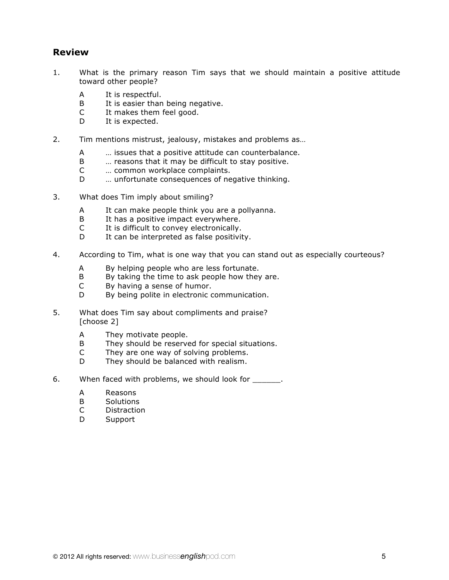### **Review**

- 1. What is the primary reason Tim says that we should maintain a positive attitude toward other people?
	- A It is respectful.
	- B It is easier than being negative.
	- C It makes them feel good.
	- D It is expected.
- 2. Tim mentions mistrust, jealousy, mistakes and problems as…
	- A … issues that a positive attitude can counterbalance.
	- B … reasons that it may be difficult to stay positive.
	- C … common workplace complaints.
	- D … unfortunate consequences of negative thinking.
- 3. What does Tim imply about smiling?
	- A It can make people think you are a pollyanna.
	- B It has a positive impact everywhere.<br>C It is difficult to convev electronically.
	- It is difficult to convey electronically.
	- D It can be interpreted as false positivity.
- 4. According to Tim, what is one way that you can stand out as especially courteous?
	- A By helping people who are less fortunate.
	- B By taking the time to ask people how they are.
	- C By having a sense of humor.
	- D By being polite in electronic communication.
- 5. What does Tim say about compliments and praise? [choose 2]
	- A They motivate people.
	- B They should be reserved for special situations.
	- C They are one way of solving problems.
	- D They should be balanced with realism.
- 6. When faced with problems, we should look for  $\blacksquare$ .
	- A Reasons
	- B Solutions
	- C Distraction
	- D Support